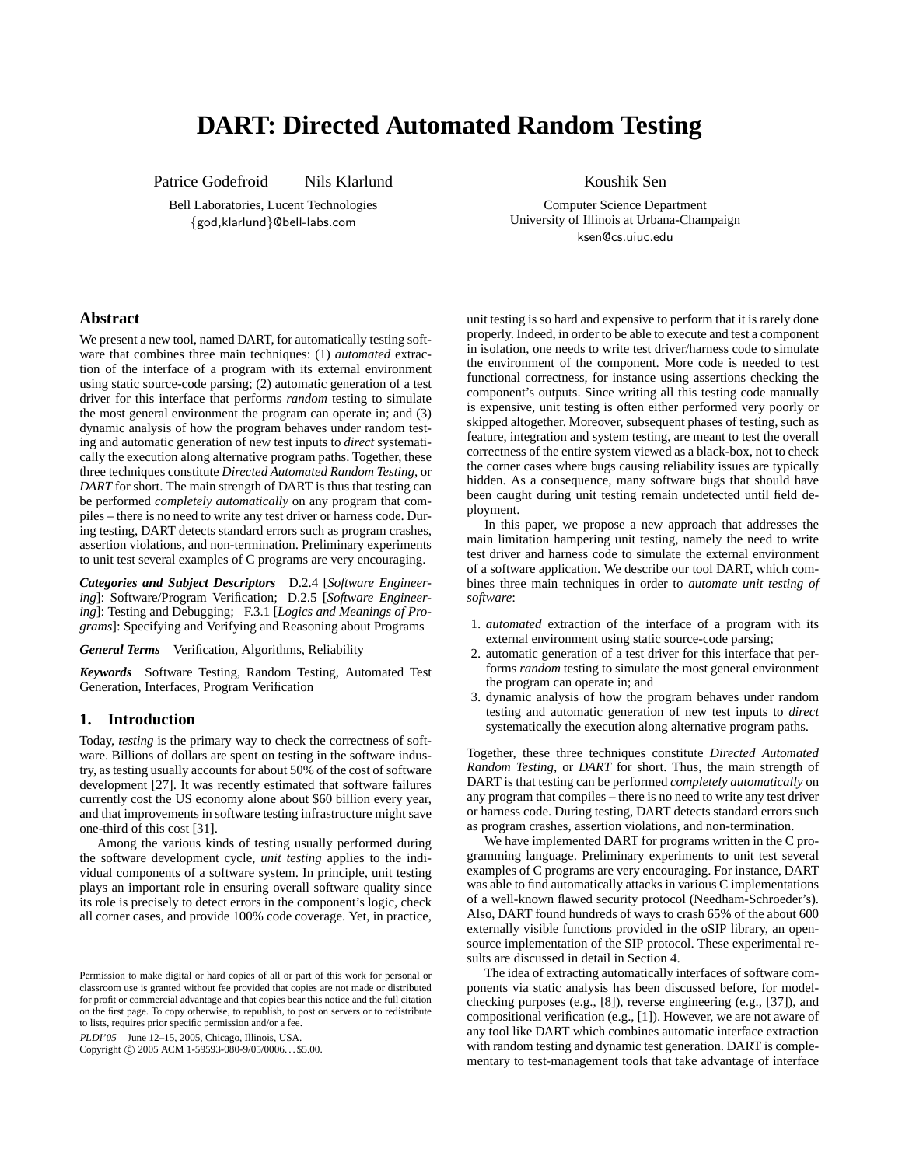# **DART: Directed Automated Random Testing**

Patrice Godefroid Nils Klarlund

Bell Laboratories, Lucent Technologies {god,klarlund}@bell-labs.com

Koushik Sen

Computer Science Department University of Illinois at Urbana-Champaign ksen@cs.uiuc.edu

## **Abstract**

We present a new tool, named DART, for automatically testing software that combines three main techniques: (1) *automated* extraction of the interface of a program with its external environment using static source-code parsing; (2) automatic generation of a test driver for this interface that performs *random* testing to simulate the most general environment the program can operate in; and (3) dynamic analysis of how the program behaves under random testing and automatic generation of new test inputs to *direct* systematically the execution along alternative program paths. Together, these three techniques constitute *Directed Automated Random Testing*, or *DART* for short. The main strength of DART is thus that testing can be performed *completely automatically* on any program that compiles – there is no need to write any test driver or harness code. During testing, DART detects standard errors such as program crashes, assertion violations, and non-termination. Preliminary experiments to unit test several examples of C programs are very encouraging.

*Categories and Subject Descriptors* D.2.4 [*Software Engineering*]: Software/Program Verification; D.2.5 [*Software Engineering*]: Testing and Debugging; F.3.1 [*Logics and Meanings of Programs*]: Specifying and Verifying and Reasoning about Programs

*General Terms* Verification, Algorithms, Reliability

*Keywords* Software Testing, Random Testing, Automated Test Generation, Interfaces, Program Verification

# **1. Introduction**

Today, *testing* is the primary way to check the correctness of software. Billions of dollars are spent on testing in the software industry, as testing usually accounts for about 50% of the cost of software development [27]. It was recently estimated that software failures currently cost the US economy alone about \$60 billion every year, and that improvements in software testing infrastructure might save one-third of this cost [31].

Among the various kinds of testing usually performed during the software development cycle, *unit testing* applies to the individual components of a software system. In principle, unit testing plays an important role in ensuring overall software quality since its role is precisely to detect errors in the component's logic, check all corner cases, and provide 100% code coverage. Yet, in practice,

PLDI'05 June 12–15, 2005, Chicago, Illinois, USA.

Copyright © 2005 ACM 1-59593-080-9/05/0006... \$5.00.

unit testing is so hard and expensive to perform that it is rarely done properly. Indeed, in order to be able to execute and test a component in isolation, one needs to write test driver/harness code to simulate the environment of the component. More code is needed to test functional correctness, for instance using assertions checking the component's outputs. Since writing all this testing code manually is expensive, unit testing is often either performed very poorly or skipped altogether. Moreover, subsequent phases of testing, such as feature, integration and system testing, are meant to test the overall correctness of the entire system viewed as a black-box, not to check the corner cases where bugs causing reliability issues are typically hidden. As a consequence, many software bugs that should have been caught during unit testing remain undetected until field deployment.

In this paper, we propose a new approach that addresses the main limitation hampering unit testing, namely the need to write test driver and harness code to simulate the external environment of a software application. We describe our tool DART, which combines three main techniques in order to *automate unit testing of software*:

- 1. *automated* extraction of the interface of a program with its external environment using static source-code parsing;
- 2. automatic generation of a test driver for this interface that performs *random* testing to simulate the most general environment the program can operate in; and
- 3. dynamic analysis of how the program behaves under random testing and automatic generation of new test inputs to *direct* systematically the execution along alternative program paths.

Together, these three techniques constitute *Directed Automated Random Testing*, or *DART* for short. Thus, the main strength of DART is that testing can be performed *completely automatically* on any program that compiles – there is no need to write any test driver or harness code. During testing, DART detects standard errors such as program crashes, assertion violations, and non-termination.

We have implemented DART for programs written in the C programming language. Preliminary experiments to unit test several examples of C programs are very encouraging. For instance, DART was able to find automatically attacks in various C implementations of a well-known flawed security protocol (Needham-Schroeder's). Also, DART found hundreds of ways to crash 65% of the about 600 externally visible functions provided in the oSIP library, an opensource implementation of the SIP protocol. These experimental results are discussed in detail in Section 4.

The idea of extracting automatically interfaces of software components via static analysis has been discussed before, for modelchecking purposes (e.g., [8]), reverse engineering (e.g., [37]), and compositional verification (e.g., [1]). However, we are not aware of any tool like DART which combines automatic interface extraction with random testing and dynamic test generation. DART is complementary to test-management tools that take advantage of interface

Permission to make digital or hard copies of all or part of this work for personal or classroom use is granted without fee provided that copies are not made or distributed for profit or commercial advantage and that copies bear this notice and the full citation on the first page. To copy otherwise, to republish, to post on servers or to redistribute to lists, requires prior specific permission and/or a fee.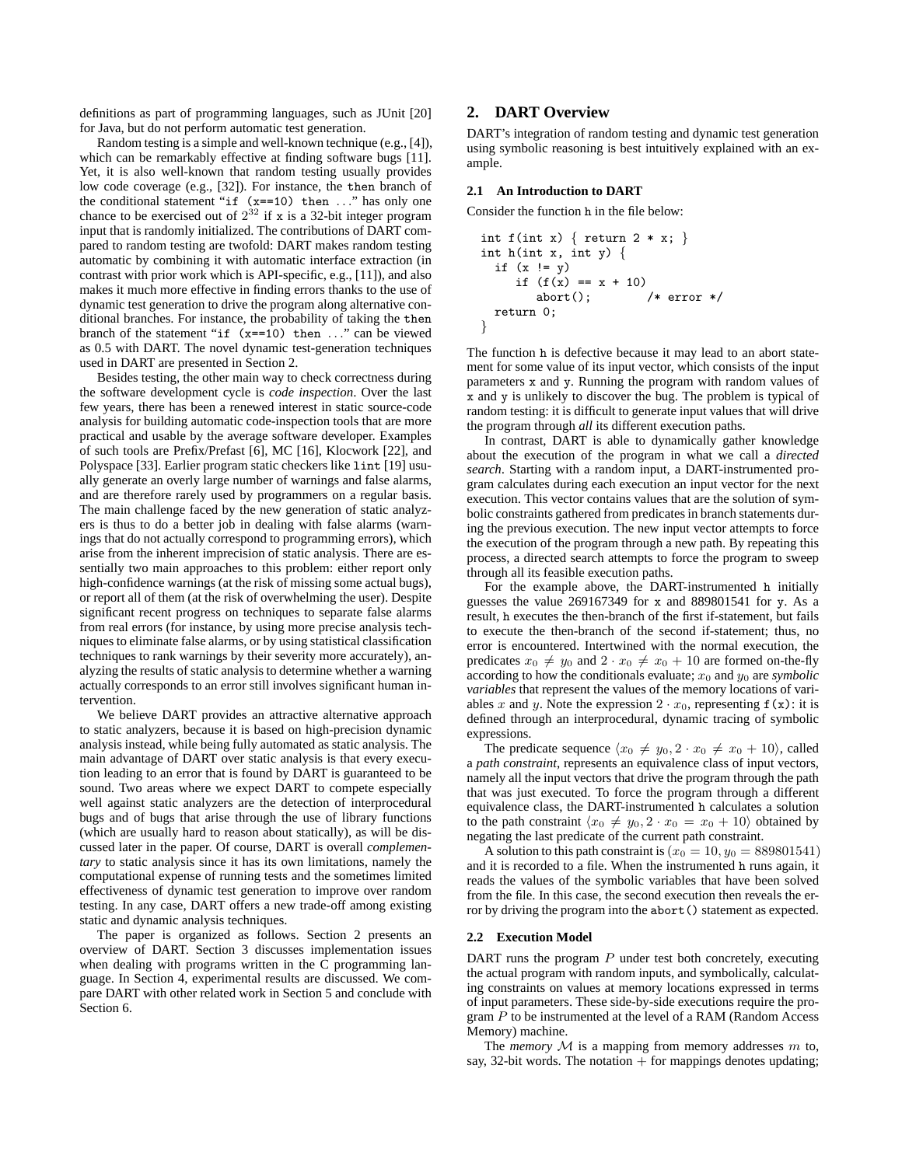definitions as part of programming languages, such as JUnit [20] for Java, but do not perform automatic test generation.

Random testing is a simple and well-known technique (e.g., [4]), which can be remarkably effective at finding software bugs [11]. Yet, it is also well-known that random testing usually provides low code coverage (e.g., [32]). For instance, the then branch of the conditional statement "if  $(x==10)$  then ..." has only one chance to be exercised out of  $2^{32}$  if x is a 32-bit integer program input that is randomly initialized. The contributions of DART compared to random testing are twofold: DART makes random testing automatic by combining it with automatic interface extraction (in contrast with prior work which is API-specific, e.g., [11]), and also makes it much more effective in finding errors thanks to the use of dynamic test generation to drive the program along alternative conditional branches. For instance, the probability of taking the then branch of the statement "if (x==10) then . . ." can be viewed as 0.5 with DART. The novel dynamic test-generation techniques used in DART are presented in Section 2.

Besides testing, the other main way to check correctness during the software development cycle is *code inspection*. Over the last few years, there has been a renewed interest in static source-code analysis for building automatic code-inspection tools that are more practical and usable by the average software developer. Examples of such tools are Prefix/Prefast [6], MC [16], Klocwork [22], and Polyspace [33]. Earlier program static checkers like lint [19] usually generate an overly large number of warnings and false alarms, and are therefore rarely used by programmers on a regular basis. The main challenge faced by the new generation of static analyzers is thus to do a better job in dealing with false alarms (warnings that do not actually correspond to programming errors), which arise from the inherent imprecision of static analysis. There are essentially two main approaches to this problem: either report only high-confidence warnings (at the risk of missing some actual bugs), or report all of them (at the risk of overwhelming the user). Despite significant recent progress on techniques to separate false alarms from real errors (for instance, by using more precise analysis techniques to eliminate false alarms, or by using statistical classification techniques to rank warnings by their severity more accurately), analyzing the results of static analysis to determine whether a warning actually corresponds to an error still involves significant human intervention.

We believe DART provides an attractive alternative approach to static analyzers, because it is based on high-precision dynamic analysis instead, while being fully automated as static analysis. The main advantage of DART over static analysis is that every execution leading to an error that is found by DART is guaranteed to be sound. Two areas where we expect DART to compete especially well against static analyzers are the detection of interprocedural bugs and of bugs that arise through the use of library functions (which are usually hard to reason about statically), as will be discussed later in the paper. Of course, DART is overall *complementary* to static analysis since it has its own limitations, namely the computational expense of running tests and the sometimes limited effectiveness of dynamic test generation to improve over random testing. In any case, DART offers a new trade-off among existing static and dynamic analysis techniques.

The paper is organized as follows. Section 2 presents an overview of DART. Section 3 discusses implementation issues when dealing with programs written in the C programming language. In Section 4, experimental results are discussed. We compare DART with other related work in Section 5 and conclude with Section 6.

# **2. DART Overview**

DART's integration of random testing and dynamic test generation using symbolic reasoning is best intuitively explained with an example.

#### **2.1 An Introduction to DART**

Consider the function h in the file below:

```
int f(int x) { return 2 * x; }
int h(int x, int y) \{if (x := y)if (f(x) == x + 10)<br>abort();
                       abort(); /* error */
  return 0;
}
```
The function h is defective because it may lead to an abort statement for some value of its input vector, which consists of the input parameters x and y. Running the program with random values of x and y is unlikely to discover the bug. The problem is typical of random testing: it is difficult to generate input values that will drive the program through *all* its different execution paths.

In contrast, DART is able to dynamically gather knowledge about the execution of the program in what we call a *directed search*. Starting with a random input, a DART-instrumented program calculates during each execution an input vector for the next execution. This vector contains values that are the solution of symbolic constraints gathered from predicates in branch statements during the previous execution. The new input vector attempts to force the execution of the program through a new path. By repeating this process, a directed search attempts to force the program to sweep through all its feasible execution paths.

For the example above, the DART-instrumented h initially guesses the value 269167349 for x and 889801541 for y. As a result, h executes the then-branch of the first if-statement, but fails to execute the then-branch of the second if-statement; thus, no error is encountered. Intertwined with the normal execution, the predicates  $x_0 \neq y_0$  and  $2 \cdot x_0 \neq x_0 + 10$  are formed on-the-fly according to how the conditionals evaluate;  $x_0$  and  $y_0$  are *symbolic variables* that represent the values of the memory locations of variables x and y. Note the expression  $2 \cdot x_0$ , representing  $f(x)$ : it is defined through an interprocedural, dynamic tracing of symbolic expressions.

The predicate sequence  $\langle x_0 \neq y_0, 2 \cdot x_0 \neq x_0 + 10 \rangle$ , called a *path constraint*, represents an equivalence class of input vectors, namely all the input vectors that drive the program through the path that was just executed. To force the program through a different equivalence class, the DART-instrumented h calculates a solution to the path constraint  $\langle x_0 \neq y_0, 2 \cdot x_0 = x_0 + 10 \rangle$  obtained by negating the last predicate of the current path constraint.

A solution to this path constraint is  $(x_0 = 10, y_0 = 889801541)$ and it is recorded to a file. When the instrumented h runs again, it reads the values of the symbolic variables that have been solved from the file. In this case, the second execution then reveals the error by driving the program into the abort() statement as expected.

## **2.2 Execution Model**

DART runs the program  $P$  under test both concretely, executing the actual program with random inputs, and symbolically, calculating constraints on values at memory locations expressed in terms of input parameters. These side-by-side executions require the program P to be instrumented at the level of a RAM (Random Access Memory) machine.

The *memory*  $M$  is a mapping from memory addresses  $m$  to, say, 32-bit words. The notation  $+$  for mappings denotes updating;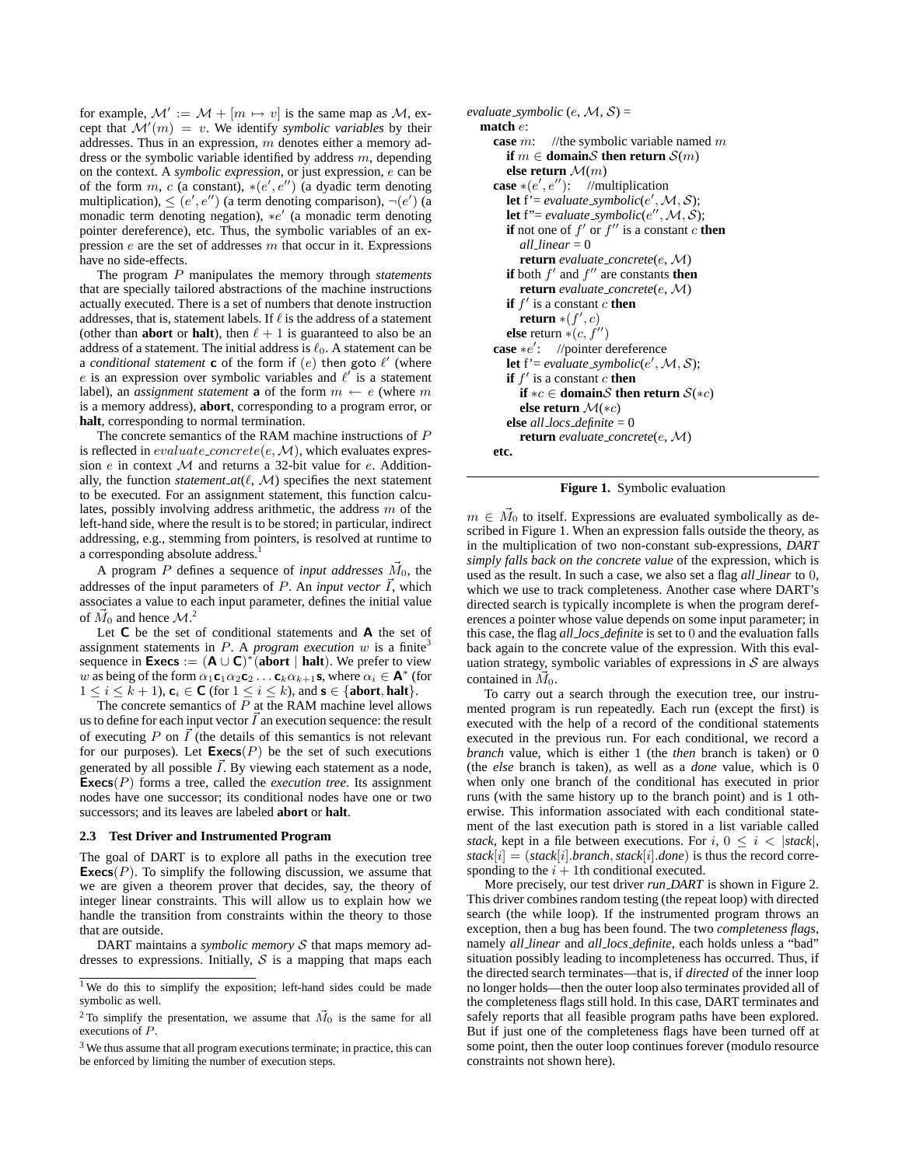for example,  $\mathcal{M}' := \mathcal{M} + [m \mapsto v]$  is the same map as  $\mathcal{M}$ , except that  $\mathcal{M}'(m) = v$ . We identify *symbolic variables* by their addresses. Thus in an expression, m denotes either a memory address or the symbolic variable identified by address  $m$ , depending on the context. A *symbolic expression*, or just expression, e can be of the form m, c (a constant),  $*(e', e'')$  (a dyadic term denoting multiplication),  $\leq (e', e'')$  (a term denoting comparison),  $\neg(e')$  (a monadic term denoting negation), \*e' (a monadic term denoting pointer dereference), etc. Thus, the symbolic variables of an expression  $e$  are the set of addresses  $m$  that occur in it. Expressions have no side-effects.

The program P manipulates the memory through *statements* that are specially tailored abstractions of the machine instructions actually executed. There is a set of numbers that denote instruction addresses, that is, statement labels. If  $\ell$  is the address of a statement (other than **abort** or **halt**), then  $\ell + 1$  is guaranteed to also be an address of a statement. The initial address is  $\ell_0$ . A statement can be a *conditional statement* **c** of the form if  $(e)$  then goto  $\ell'$  (where e is an expression over symbolic variables and  $\ell'$  is a statement label), an *assignment statement* **a** of the form  $m \leftarrow e$  (where m is a memory address), **abort**, corresponding to a program error, or **halt**, corresponding to normal termination.

The concrete semantics of the RAM machine instructions of P is reflected in *evaluate\_concrete(e, M)*, which evaluates expression e in context  $M$  and returns a 32-bit value for e. Additionally, the function *statement*  $at(\ell, \mathcal{M})$  specifies the next statement to be executed. For an assignment statement, this function calculates, possibly involving address arithmetic, the address  $m$  of the left-hand side, where the result is to be stored; in particular, indirect addressing, e.g., stemming from pointers, is resolved at runtime to a corresponding absolute address.<sup>1</sup>

A program P defines a sequence of *input addresses*  $\vec{M}_0$ , the addresses of the input parameters of  $P$ . An *input vector*  $\vec{I}$ , which associates a value to each input parameter, defines the initial value of  $\vec{M}_0$  and hence  $\mathcal{M}.^2$ 

Let  $C$  be the set of conditional statements and  $A$  the set of assignment statements in  $P$ . A *program execution*  $w$  is a finite<sup>3</sup> sequence in **Execs** :=  $(A \cup C)^*($ **abort** | **halt**). We prefer to view w as being of the form  $\alpha_1 \mathbf{c}_1 \alpha_2 \mathbf{c}_2 \dots \mathbf{c}_k \alpha_{k+1}$ s, where  $\alpha_i \in \mathbf{A}^*$  (for  $1 \leq i \leq k+1$ ,  $c_i \in \mathbb{C}$  (for  $1 \leq i \leq k$ ), and  $s \in \{\text{abort}, \text{halt}\}.$ 

The concrete semantics of  $\overline{P}$  at the RAM machine level allows us to define for each input vector  $\vec{I}$  an execution sequence: the result of executing P on  $\vec{I}$  (the details of this semantics is not relevant for our purposes). Let  $\textsf{Execs}(P)$  be the set of such executions generated by all possible  $\vec{I}$ . By viewing each statement as a node,  $\mathsf{Execs}(P)$  forms a tree, called the *execution tree*. Its assignment nodes have one successor; its conditional nodes have one or two successors; and its leaves are labeled **abort** or **halt**.

#### **2.3 Test Driver and Instrumented Program**

The goal of DART is to explore all paths in the execution tree **Execs** $(P)$ . To simplify the following discussion, we assume that we are given a theorem prover that decides, say, the theory of integer linear constraints. This will allow us to explain how we handle the transition from constraints within the theory to those that are outside.

DART maintains a *symbolic memory* S that maps memory addresses to expressions. Initially,  $S$  is a mapping that maps each

```
evaluate\_symbolic (e, M, S) =
  match e:
     case m: //the symbolic variable named m
        if m \in \text{domain}S then return S(m)else return M(m)
      case *(e', e''): //multiplication
         let f' = \text{evaluate\_symbolic}(e', \mathcal{M}, \mathcal{S});
         let f'' = \text{evaluate\_symbolic}(e'', \mathcal{M}, \mathcal{S});if not one of f' or f'' is a constant c then
           all linear = 0
           return evaluate concrete(e, M)
         if both f' and f'' are constants then
           return evaluate concrete(e, M)
         if f' is a constant c then
           \mathbf{return} \ast (f', c)else return *(c, f'')case ∗e
0
: //pointer dereference
         let f' = \text{evaluate\_symbolic}(e', \mathcal{M}, \mathcal{S});
         if f' is a constant c then
           if *c ∈ domainS then return S(*c)else return M(∗c)
        else all locs definite = 0
           return evaluate concrete(e, M)
     etc.
```


 $m \in \overline{M}_0$  to itself. Expressions are evaluated symbolically as described in Figure 1. When an expression falls outside the theory, as in the multiplication of two non-constant sub-expressions, *DART simply falls back on the concrete value* of the expression, which is used as the result. In such a case, we also set a flag *all linear* to 0, which we use to track completeness. Another case where DART's directed search is typically incomplete is when the program dereferences a pointer whose value depends on some input parameter; in this case, the flag *all locs definite* is set to 0 and the evaluation falls back again to the concrete value of the expression. With this evaluation strategy, symbolic variables of expressions in  $S$  are always contained in  $\vec{M}_0$ .

To carry out a search through the execution tree, our instrumented program is run repeatedly. Each run (except the first) is executed with the help of a record of the conditional statements executed in the previous run. For each conditional, we record a *branch* value, which is either 1 (the *then* branch is taken) or 0 (the *else* branch is taken), as well as a *done* value, which is 0 when only one branch of the conditional has executed in prior runs (with the same history up to the branch point) and is 1 otherwise. This information associated with each conditional statement of the last execution path is stored in a list variable called *stack*, kept in a file between executions. For  $i, 0 \le i < |stack|$ ,  $stack[i] = (stack[i].branch, stack[i].done)$  is thus the record corresponding to the  $i + 1$ th conditional executed.

More precisely, our test driver *run DART* is shown in Figure 2. This driver combines random testing (the repeat loop) with directed search (the while loop). If the instrumented program throws an exception, then a bug has been found. The two *completeness flags*, namely *all linear* and *all locs definite*, each holds unless a "bad" situation possibly leading to incompleteness has occurred. Thus, if the directed search terminates—that is, if *directed* of the inner loop no longer holds—then the outer loop also terminates provided all of the completeness flags still hold. In this case, DART terminates and safely reports that all feasible program paths have been explored. But if just one of the completeness flags have been turned off at some point, then the outer loop continues forever (modulo resource constraints not shown here).

<sup>&</sup>lt;sup>1</sup>We do this to simplify the exposition; left-hand sides could be made symbolic as well.

<sup>&</sup>lt;sup>2</sup> To simplify the presentation, we assume that  $\vec{M}_0$  is the same for all executions of P.

<sup>3</sup> We thus assume that all program executions terminate; in practice, this can be enforced by limiting the number of execution steps.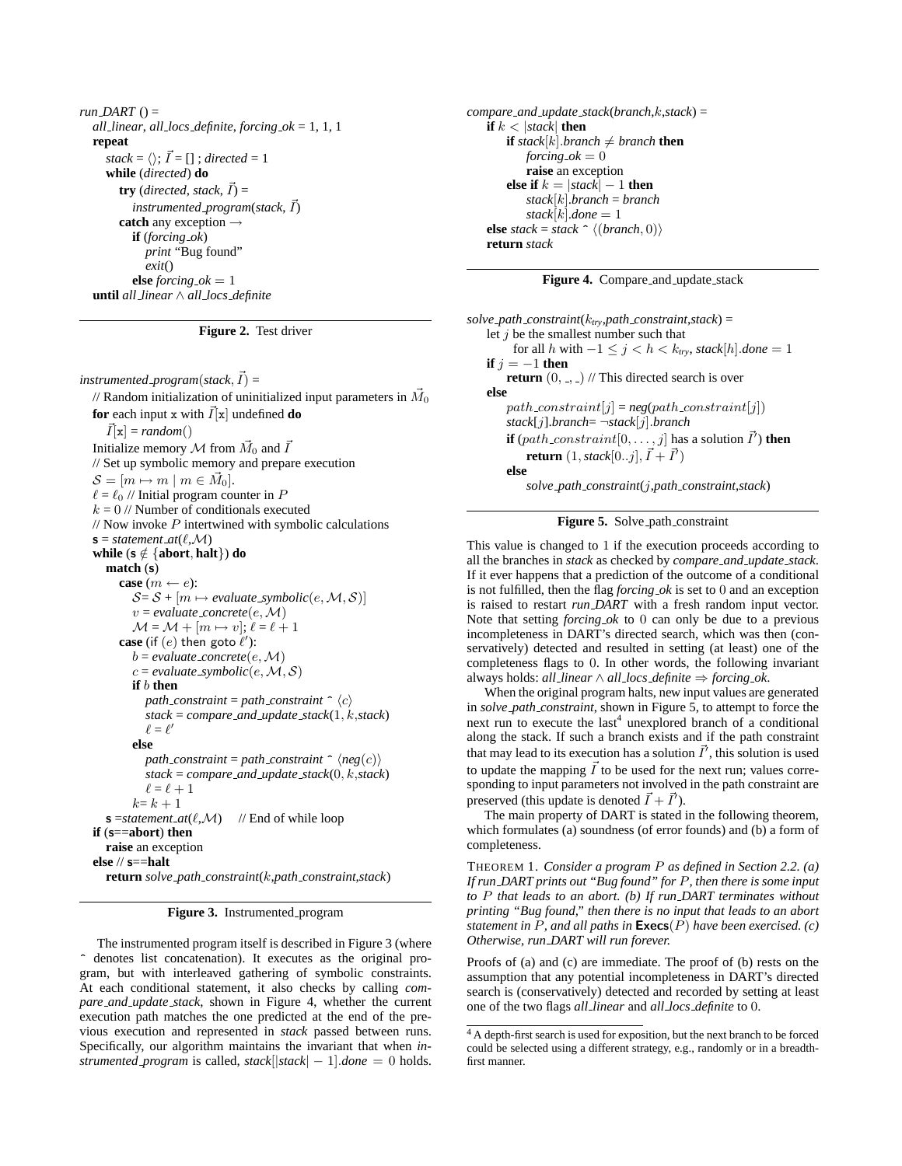```
run DART () =
  all linear, all locs definite, forcing ok = 1, 1, 1
  repeat
     stack = \langle \rangle; \vec{I} = \iint ; directed = 1
     while (directed) do
        try (directed, stack, \vec{I}) =
           \vec{n} instrumented_program(stack, \vec{I})
        catch any exception →
           if (forcing ok)
              print "Bug found"
              exit()
           else forcing ok = 1until all linear ∧ all locs definite
```
**Figure 2.** Test driver

 $instrumented\_program(state, I) =$ // Random initialization of uninitialized input parameters in  $\vec{M}_0$ **for** each input x with  $\vec{I}[\mathbf{x}]$  undefined **do**  $\overrightarrow{I}[\mathbf{x}] = random()$ Initialize memory  $\mathcal M$  from  $\vec{M}_0$  and  $\vec{I}$ // Set up symbolic memory and prepare execution  $S = [m \mapsto m \mid m \in \overrightarrow{M}_0].$  $\ell = \ell_0$  // Initial program counter in P  $k = 0$  // Number of conditionals executed  $\frac{1}{2}$  Now invoke  $P$  intertwined with symbolic calculations  $s = statement_at(\ell,M)$ **while** ( $s \notin \{abort, halt\}$ ) **do match** (s) **case**  $(m \leftarrow e)$ :  $S = S + [m \mapsto \text{evaluate } symbolic(e, M, S)]$  $v = \text{evaluate\_concrete}(e, \mathcal{M})$  $\mathcal{M} = \mathcal{M} + [m \mapsto v]; \ell = \ell + 1$ **case** (if  $(e)$  then goto  $e'$ ):  $b = evaluate\_{concrete}(e, \mathcal{M})$  $c = \text{evaluate\_symbolic}(e, \mathcal{M}, \mathcal{S})$ **if** b **then** *path\_constraint* = *path\_constraint*  $\hat{c}$  $stack = compare$  *and*  $update\_stack(1, k, stack)$  $\ell = \ell'$ **else** *path\_constraint* = *path\_constraint*  $\hat{\ }$   $\langle neg(c)\rangle$  $stack = compare\_and\_update\_stack(0, k, stack)$  $\ell = \ell + 1$  $k = k + 1$  $s = statement_at(\ell,M)$  // End of while loop **if** (s==**abort**) **then raise** an exception **else** // s==**halt return** *solve path constraint*(k,*path constraint*,*stack*)

**Figure 3.** Instrumented program

The instrumented program itself is described in Figure 3 (where ^ denotes list concatenation). It executes as the original program, but with interleaved gathering of symbolic constraints. At each conditional statement, it also checks by calling *compare and update stack*, shown in Figure 4, whether the current execution path matches the one predicted at the end of the previous execution and represented in *stack* passed between runs. Specifically, our algorithm maintains the invariant that when *instrumented program* is called,  $stack[|stack] = 1].done = 0$  holds.

```
compare and update stack(branch,k,stack) =
   if k < |stack| then
       if stack[k].branch \neq branch then
           forcing ok = 0raise an exception
       else if k = |stack| - 1 then
           stack[k].branch = branch
           stack[k].done = 1else stack = stack \hat{\ } \langle (branch, 0))
    return stack
```
Figure 4. Compare and update stack

| solve path constraint( $k_{trv}$ , path constraint, stack) =               |
|----------------------------------------------------------------------------|
| let $i$ be the smallest number such that                                   |
| for all h with $-1 \le j \le h \le k_{trv}$ , stack[h].done = 1            |
| if $i = -1$ then                                                           |
| <b>return</b> $(0, 0, 0)$ // This directed search is over                  |
| else                                                                       |
| $path\,constraint[j] = neg(path\,constraint[j])$                           |
| stack[j].branch= $\neg$ stack[j].branch                                    |
| <b>if</b> $(path\_constraint[0, \ldots, j]$ has a solution $\vec{I}'$ then |
| <b>return</b> $(1, stack[0j], \vec{I}+\vec{I}')$                           |
| else                                                                       |
| solve_path_constraint(j,path_constraint,stack)                             |
|                                                                            |

#### **Figure 5.** Solve path constraint

This value is changed to 1 if the execution proceeds according to all the branches in *stack* as checked by *compare and update stack*. If it ever happens that a prediction of the outcome of a conditional is not fulfilled, then the flag *forcing ok* is set to 0 and an exception is raised to restart *run DART* with a fresh random input vector. Note that setting *forcing ok* to 0 can only be due to a previous incompleteness in DART's directed search, which was then (conservatively) detected and resulted in setting (at least) one of the completeness flags to 0. In other words, the following invariant always holds: *all linear* ∧ *all locs definite* ⇒ *forcing ok*.

When the original program halts, new input values are generated in *solve path constraint*, shown in Figure 5, to attempt to force the next run to execute the last<sup>4</sup> unexplored branch of a conditional along the stack. If such a branch exists and if the path constraint that may lead to its execution has a solution  $\vec{I}'$ , this solution is used to update the mapping  $\vec{I}$  to be used for the next run; values corresponding to input parameters not involved in the path constraint are preserved (this update is denoted  $\vec{I} + \vec{I}'$ ).

The main property of DART is stated in the following theorem, which formulates (a) soundness (of error founds) and (b) a form of completeness.

THEOREM 1. *Consider a program* P *as defined in Section 2.2. (a) If run DART prints out "Bug found" for* P*, then there is some input to* P *that leads to an abort. (b) If run DART terminates without printing "Bug found," then there is no input that leads to an abort statement in* P*, and all paths in* Execs(P) *have been exercised. (c) Otherwise, run DART will run forever.*

Proofs of (a) and (c) are immediate. The proof of (b) rests on the assumption that any potential incompleteness in DART's directed search is (conservatively) detected and recorded by setting at least one of the two flags *all linear* and *all locs definite* to 0.

<sup>4</sup> A depth-first search is used for exposition, but the next branch to be forced could be selected using a different strategy, e.g., randomly or in a breadthfirst manner.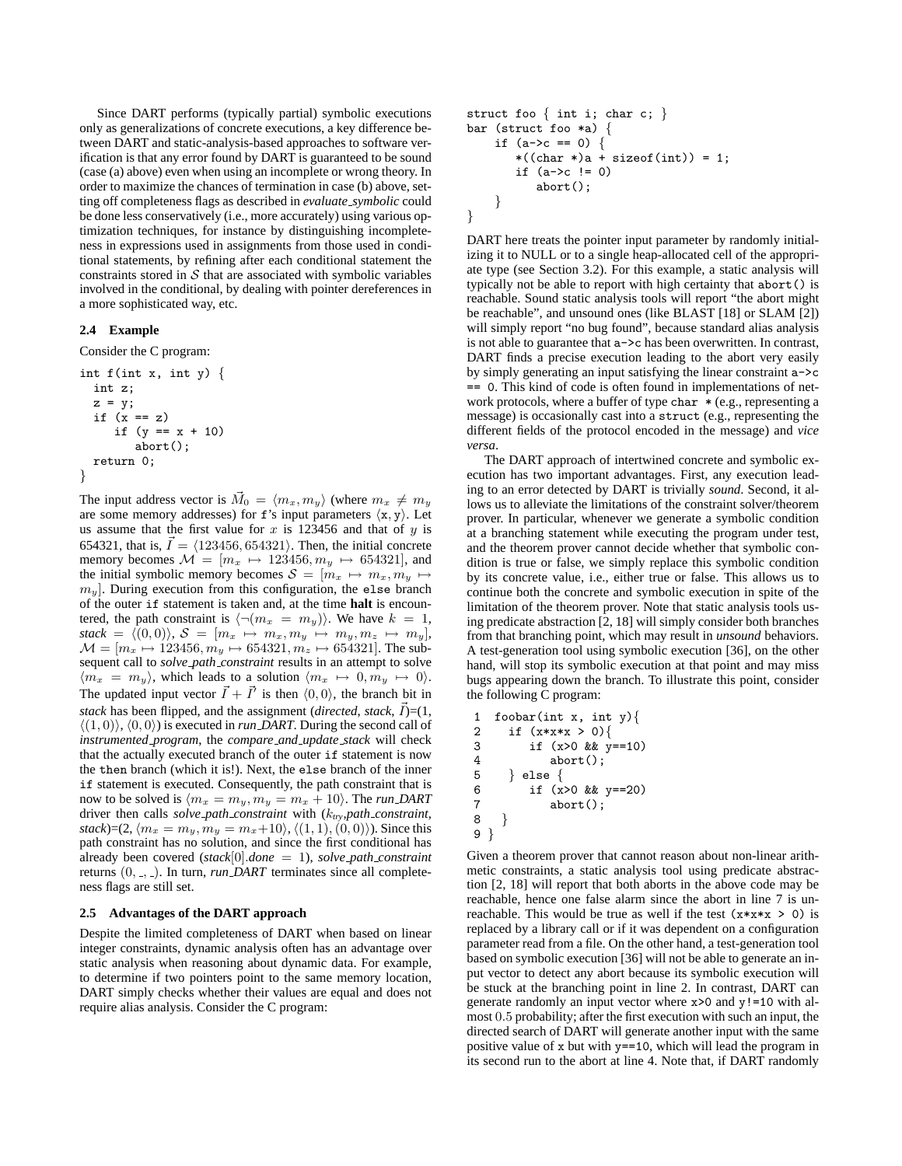Since DART performs (typically partial) symbolic executions only as generalizations of concrete executions, a key difference between DART and static-analysis-based approaches to software verification is that any error found by DART is guaranteed to be sound (case (a) above) even when using an incomplete or wrong theory. In order to maximize the chances of termination in case (b) above, setting off completeness flags as described in *evaluate symbolic* could be done less conservatively (i.e., more accurately) using various optimization techniques, for instance by distinguishing incompleteness in expressions used in assignments from those used in conditional statements, by refining after each conditional statement the constraints stored in  $S$  that are associated with symbolic variables involved in the conditional, by dealing with pointer dereferences in a more sophisticated way, etc.

#### **2.4 Example**

Consider the C program:

```
int f(int x, int y) \{int z;
 z = y;if (x == z)if (y == x + 10)abort();
 return 0;
}
```
The input address vector is  $\vec{M}_0 = \langle m_x, m_y \rangle$  (where  $m_x \neq m_y$ are some memory addresses) for f's input parameters  $\langle x, y \rangle$ . Let us assume that the first value for  $x$  is 123456 and that of  $y$  is 654321, that is,  $\vec{I} = \langle 123456, 654321 \rangle$ . Then, the initial concrete memory becomes  $\mathcal{M} = [m_x \mapsto 123456, m_y \mapsto 654321]$ , and the initial symbolic memory becomes  $S = [m_x \mapsto m_x, m_y \mapsto$  $m_y$ . During execution from this configuration, the else branch of the outer if statement is taken and, at the time **halt** is encountered, the path constraint is  $\langle \neg(m_x = m_y) \rangle$ . We have  $k = 1$ ,  $stack = \langle (0, 0) \rangle, \mathcal{S} = [m_x \mapsto m_x, m_y \mapsto m_y, m_z \mapsto m_y],$  $\mathcal{M} = [m_x \mapsto 123456, m_y \mapsto 654321, m_z \mapsto 654321]$ . The subsequent call to *solve path constraint* results in an attempt to solve  $\langle m_x = m_y \rangle$ , which leads to a solution  $\langle m_x \mapsto 0, m_y \mapsto 0 \rangle$ . The updated input vector  $\vec{I} + \vec{I}'$  is then  $(0, 0)$ , the branch bit in *stack* has been flipped, and the assignment (*directed*, *stack*,  $\vec{I}$ )=(1,  $\langle (1, 0) \rangle$ ,  $\langle 0, 0 \rangle$  is executed in *run\_DART*. During the second call of *instrumented program*, the *compare and update stack* will check that the actually executed branch of the outer if statement is now the then branch (which it is!). Next, the else branch of the inner if statement is executed. Consequently, the path constraint that is now to be solved is  $\langle m_x = m_y, m_y = m_x + 10 \rangle$ . The *run DART* driver then calls *solve path constraint* with (k*try*,*path constraint*, *stack*)=(2,  $\langle m_x = m_y, m_y = m_x + 10 \rangle$ ,  $\langle (1, 1), (0, 0) \rangle$ ). Since this path constraint has no solution, and since the first conditional has already been covered (*stack*[0].*done* = 1), *solve path constraint* returns  $(0, 0, 0)$ . In turn, *run DART* terminates since all completeness flags are still set.

#### **2.5 Advantages of the DART approach**

Despite the limited completeness of DART when based on linear integer constraints, dynamic analysis often has an advantage over static analysis when reasoning about dynamic data. For example, to determine if two pointers point to the same memory location, DART simply checks whether their values are equal and does not require alias analysis. Consider the C program:

```
struct foo { int i; char c; }
bar (struct foo *a) {
    if (a -> c == 0) {
       *((char *)a + sizeof(int)) = 1;if (a -> c := 0)abort();
    }
}
```
DART here treats the pointer input parameter by randomly initializing it to NULL or to a single heap-allocated cell of the appropriate type (see Section 3.2). For this example, a static analysis will typically not be able to report with high certainty that abort() is reachable. Sound static analysis tools will report "the abort might be reachable", and unsound ones (like BLAST [18] or SLAM [2]) will simply report "no bug found", because standard alias analysis is not able to guarantee that  $a \rightarrow c$  has been overwritten. In contrast, DART finds a precise execution leading to the abort very easily by simply generating an input satisfying the linear constraint a->c == 0. This kind of code is often found in implementations of network protocols, where a buffer of type char  $*(e.g.,$  representing a message) is occasionally cast into a struct (e.g., representing the different fields of the protocol encoded in the message) and *vice versa*.

The DART approach of intertwined concrete and symbolic execution has two important advantages. First, any execution leading to an error detected by DART is trivially *sound*. Second, it allows us to alleviate the limitations of the constraint solver/theorem prover. In particular, whenever we generate a symbolic condition at a branching statement while executing the program under test, and the theorem prover cannot decide whether that symbolic condition is true or false, we simply replace this symbolic condition by its concrete value, i.e., either true or false. This allows us to continue both the concrete and symbolic execution in spite of the limitation of the theorem prover. Note that static analysis tools using predicate abstraction [2, 18] will simply consider both branches from that branching point, which may result in *unsound* behaviors. A test-generation tool using symbolic execution [36], on the other hand, will stop its symbolic execution at that point and may miss bugs appearing down the branch. To illustrate this point, consider the following C program:

```
1 foobar(int x, int y){
2 if (x*x*x > 0) {<br>3 if (x>0) & y
       if (x>0 && y==10)4 abort();
5 } else {
6 if (x>0 && y==20)
7 abort();
8 }
9 }
```
Given a theorem prover that cannot reason about non-linear arithmetic constraints, a static analysis tool using predicate abstraction [2, 18] will report that both aborts in the above code may be reachable, hence one false alarm since the abort in line 7 is unreachable. This would be true as well if the test  $(x*x*x > 0)$  is replaced by a library call or if it was dependent on a configuration parameter read from a file. On the other hand, a test-generation tool based on symbolic execution [36] will not be able to generate an input vector to detect any abort because its symbolic execution will be stuck at the branching point in line 2. In contrast, DART can generate randomly an input vector where x>0 and y!=10 with almost 0.5 probability; after the first execution with such an input, the directed search of DART will generate another input with the same positive value of x but with y==10, which will lead the program in its second run to the abort at line 4. Note that, if DART randomly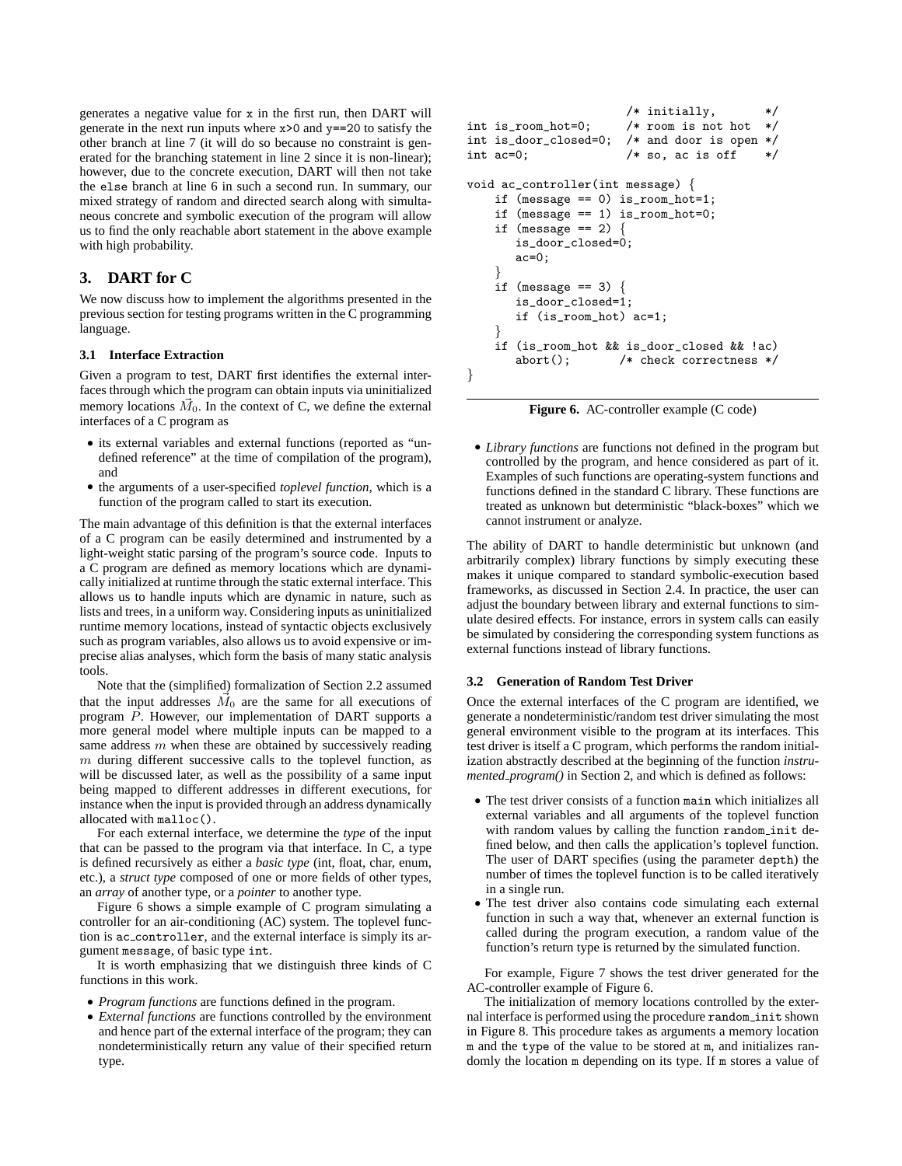generates a negative value for x in the first run, then DART will generate in the next run inputs where  $x>0$  and  $y == 20$  to satisfy the other branch at line 7 (it will do so because no constraint is generated for the branching statement in line 2 since it is non-linear); however, due to the concrete execution, DART will then not take the else branch at line 6 in such a second run. In summary, our mixed strategy of random and directed search along with simultaneous concrete and symbolic execution of the program will allow us to find the only reachable abort statement in the above example with high probability.

# **3. DART for C**

We now discuss how to implement the algorithms presented in the previous section for testing programs written in the C programming language.

## **3.1 Interface Extraction**

Given a program to test, DART first identifies the external interfaces through which the program can obtain inputs via uninitialized memory locations  $\vec{M}_0$ . In the context of C, we define the external interfaces of a C program as

- its external variables and external functions (reported as "undefined reference" at the time of compilation of the program), and
- the arguments of a user-specified *toplevel function*, which is a function of the program called to start its execution.

The main advantage of this definition is that the external interfaces of a C program can be easily determined and instrumented by a light-weight static parsing of the program's source code. Inputs to a C program are defined as memory locations which are dynamically initialized at runtime through the static external interface. This allows us to handle inputs which are dynamic in nature, such as lists and trees, in a uniform way. Considering inputs as uninitialized runtime memory locations, instead of syntactic objects exclusively such as program variables, also allows us to avoid expensive or imprecise alias analyses, which form the basis of many static analysis tools.

Note that the (simplified) formalization of Section 2.2 assumed that the input addresses  $\vec{M}_0$  are the same for all executions of program  $\overline{P}$ . However, our implementation of DART supports a more general model where multiple inputs can be mapped to a same address  $m$  when these are obtained by successively reading  $m$  during different successive calls to the toplevel function, as will be discussed later, as well as the possibility of a same input being mapped to different addresses in different executions, for instance when the input is provided through an address dynamically allocated with malloc().

For each external interface, we determine the *type* of the input that can be passed to the program via that interface. In C, a type is defined recursively as either a *basic type* (int, float, char, enum, etc.), a *struct type* composed of one or more fields of other types, an *array* of another type, or a *pointer* to another type.

Figure 6 shows a simple example of C program simulating a controller for an air-conditioning (AC) system. The toplevel function is ac controller, and the external interface is simply its argument message, of basic type int.

It is worth emphasizing that we distinguish three kinds of C functions in this work.

- *Program functions* are functions defined in the program.
- *External functions* are functions controlled by the environment and hence part of the external interface of the program; they can nondeterministically return any value of their specified return type.

```
/* initially, */int is_room_hot=0; /* room is not hot */
int is_door_closed=0; /* and door is open */
int ac=0; /* so, ac is off
void ac_controller(int message) {
   if (message == 0) is_room_hot=1;
   if (message == 1) is_room_hot=0;
   if (message == 2) {
      is_door_closed=0;
      ac=0;
    }
   if (message == 3) {
      is_door_closed=1;
      if (is_room_hot) ac=1;
    }
   if (is_room_hot && is_door_closed && !ac)
      abort(); /* check correctness */
}
```


• *Library functions* are functions not defined in the program but controlled by the program, and hence considered as part of it. Examples of such functions are operating-system functions and functions defined in the standard C library. These functions are treated as unknown but deterministic "black-boxes" which we cannot instrument or analyze.

The ability of DART to handle deterministic but unknown (and arbitrarily complex) library functions by simply executing these makes it unique compared to standard symbolic-execution based frameworks, as discussed in Section 2.4. In practice, the user can adjust the boundary between library and external functions to simulate desired effects. For instance, errors in system calls can easily be simulated by considering the corresponding system functions as external functions instead of library functions.

## **3.2 Generation of Random Test Driver**

Once the external interfaces of the C program are identified, we generate a nondeterministic/random test driver simulating the most general environment visible to the program at its interfaces. This test driver is itself a C program, which performs the random initialization abstractly described at the beginning of the function *instrumented program()* in Section 2, and which is defined as follows:

- The test driver consists of a function main which initializes all external variables and all arguments of the toplevel function with random values by calling the function random init defined below, and then calls the application's toplevel function. The user of DART specifies (using the parameter depth) the number of times the toplevel function is to be called iteratively in a single run.
- The test driver also contains code simulating each external function in such a way that, whenever an external function is called during the program execution, a random value of the function's return type is returned by the simulated function.

For example, Figure 7 shows the test driver generated for the AC-controller example of Figure 6.

The initialization of memory locations controlled by the external interface is performed using the procedure random init shown in Figure 8. This procedure takes as arguments a memory location m and the type of the value to be stored at m, and initializes randomly the location m depending on its type. If m stores a value of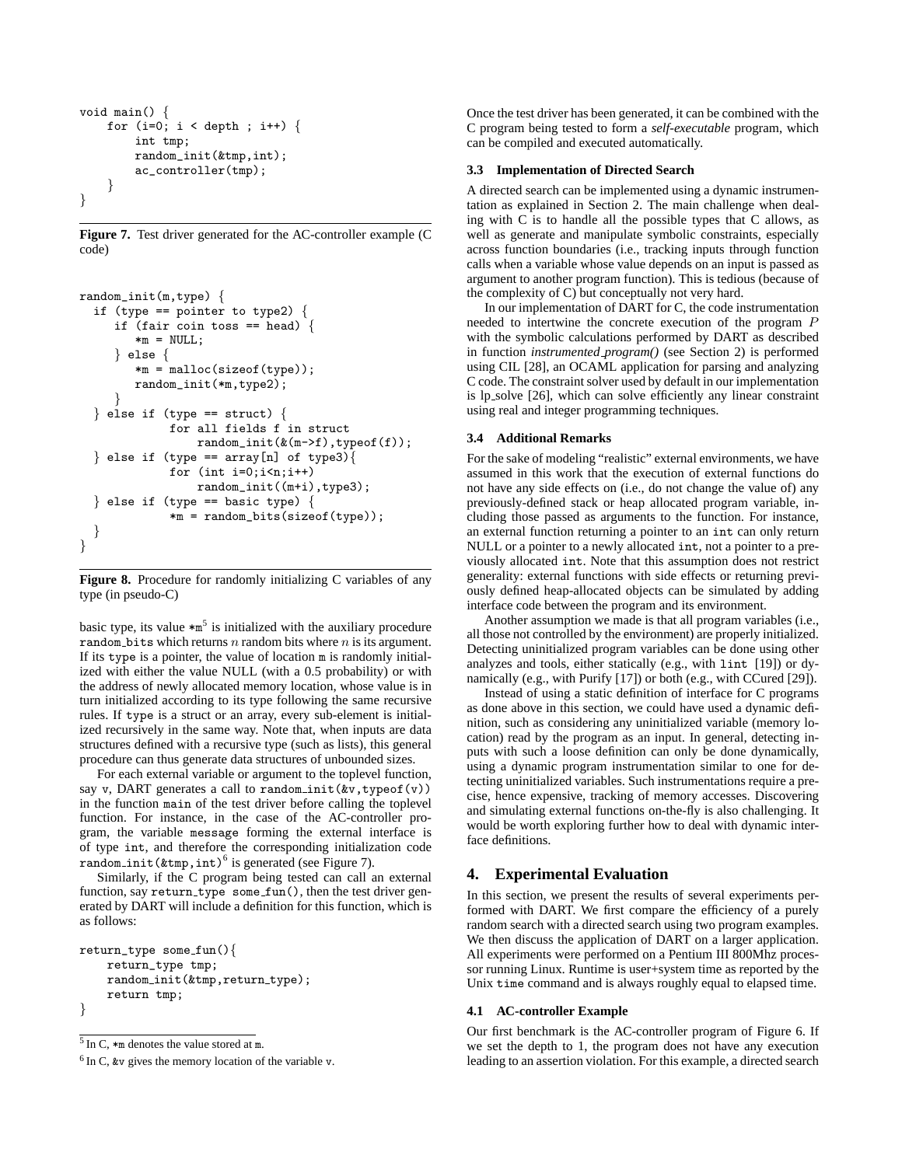```
void main() {
    for (i=0; i < depth ; i++) {
        int tmp;
        random_init(&tmp,int);
        ac_controller(tmp);
    }
}
```
Figure 7. Test driver generated for the AC-controller example (C code)

```
random_init(m,type) {
  if (type == pointer to type2) {
     if (fair coin toss == head) {
        *m = NULL;} else {
        *m = malloc(sizeof(type));random_init(*m,type2);
     }
  } else if (type == struct) {
             for all fields f in struct
                 random_init(&(m->f),typeof(f));
  } else if (type == array[n] of type3){
             for (int i=0; i \leq n; i++)random_init((m+i),type3);
  } else if (type == basic type) {
             *m = random_bits(sizeof(type));
  }
}
```
**Figure 8.** Procedure for randomly initializing C variables of any type (in pseudo-C)

basic type, its value  $\ast m^5$  is initialized with the auxiliary procedure random bits which returns  $n$  random bits where  $n$  is its argument. If its type is a pointer, the value of location m is randomly initialized with either the value NULL (with a 0.5 probability) or with the address of newly allocated memory location, whose value is in turn initialized according to its type following the same recursive rules. If type is a struct or an array, every sub-element is initialized recursively in the same way. Note that, when inputs are data structures defined with a recursive type (such as lists), this general procedure can thus generate data structures of unbounded sizes.

For each external variable or argument to the toplevel function, say v, DART generates a call to random init( $\&v$ , typeof(v)) in the function main of the test driver before calling the toplevel function. For instance, in the case of the AC-controller program, the variable message forming the external interface is of type int, and therefore the corresponding initialization code random\_init(&tmp,int)<sup>6</sup> is generated (see Figure 7).

Similarly, if the C program being tested can call an external function, say return type some fun(), then the test driver generated by DART will include a definition for this function, which is as follows:

```
return_type some fun(){
    return_type tmp;
    random init(&tmp,return type);
    return tmp;
}
```
Once the test driver has been generated, it can be combined with the C program being tested to form a *self-executable* program, which can be compiled and executed automatically.

## **3.3 Implementation of Directed Search**

A directed search can be implemented using a dynamic instrumentation as explained in Section 2. The main challenge when dealing with C is to handle all the possible types that C allows, as well as generate and manipulate symbolic constraints, especially across function boundaries (i.e., tracking inputs through function calls when a variable whose value depends on an input is passed as argument to another program function). This is tedious (because of the complexity of C) but conceptually not very hard.

In our implementation of DART for C, the code instrumentation needed to intertwine the concrete execution of the program P with the symbolic calculations performed by DART as described in function *instrumented program()* (see Section 2) is performed using CIL [28], an OCAML application for parsing and analyzing C code. The constraint solver used by default in our implementation is lp solve [26], which can solve efficiently any linear constraint using real and integer programming techniques.

#### **3.4 Additional Remarks**

For the sake of modeling "realistic" external environments, we have assumed in this work that the execution of external functions do not have any side effects on (i.e., do not change the value of) any previously-defined stack or heap allocated program variable, including those passed as arguments to the function. For instance, an external function returning a pointer to an int can only return NULL or a pointer to a newly allocated int, not a pointer to a previously allocated int. Note that this assumption does not restrict generality: external functions with side effects or returning previously defined heap-allocated objects can be simulated by adding interface code between the program and its environment.

Another assumption we made is that all program variables (i.e., all those not controlled by the environment) are properly initialized. Detecting uninitialized program variables can be done using other analyzes and tools, either statically (e.g., with lint [19]) or dynamically (e.g., with Purify [17]) or both (e.g., with CCured [29]).

Instead of using a static definition of interface for C programs as done above in this section, we could have used a dynamic definition, such as considering any uninitialized variable (memory location) read by the program as an input. In general, detecting inputs with such a loose definition can only be done dynamically, using a dynamic program instrumentation similar to one for detecting uninitialized variables. Such instrumentations require a precise, hence expensive, tracking of memory accesses. Discovering and simulating external functions on-the-fly is also challenging. It would be worth exploring further how to deal with dynamic interface definitions.

## **4. Experimental Evaluation**

In this section, we present the results of several experiments performed with DART. We first compare the efficiency of a purely random search with a directed search using two program examples. We then discuss the application of DART on a larger application. All experiments were performed on a Pentium III 800Mhz processor running Linux. Runtime is user+system time as reported by the Unix time command and is always roughly equal to elapsed time.

#### **4.1 AC-controller Example**

Our first benchmark is the AC-controller program of Figure 6. If we set the depth to 1, the program does not have any execution leading to an assertion violation. For this example, a directed search

<sup>5</sup> In C, \*m denotes the value stored at m.

<sup>6</sup> In C, &v gives the memory location of the variable v.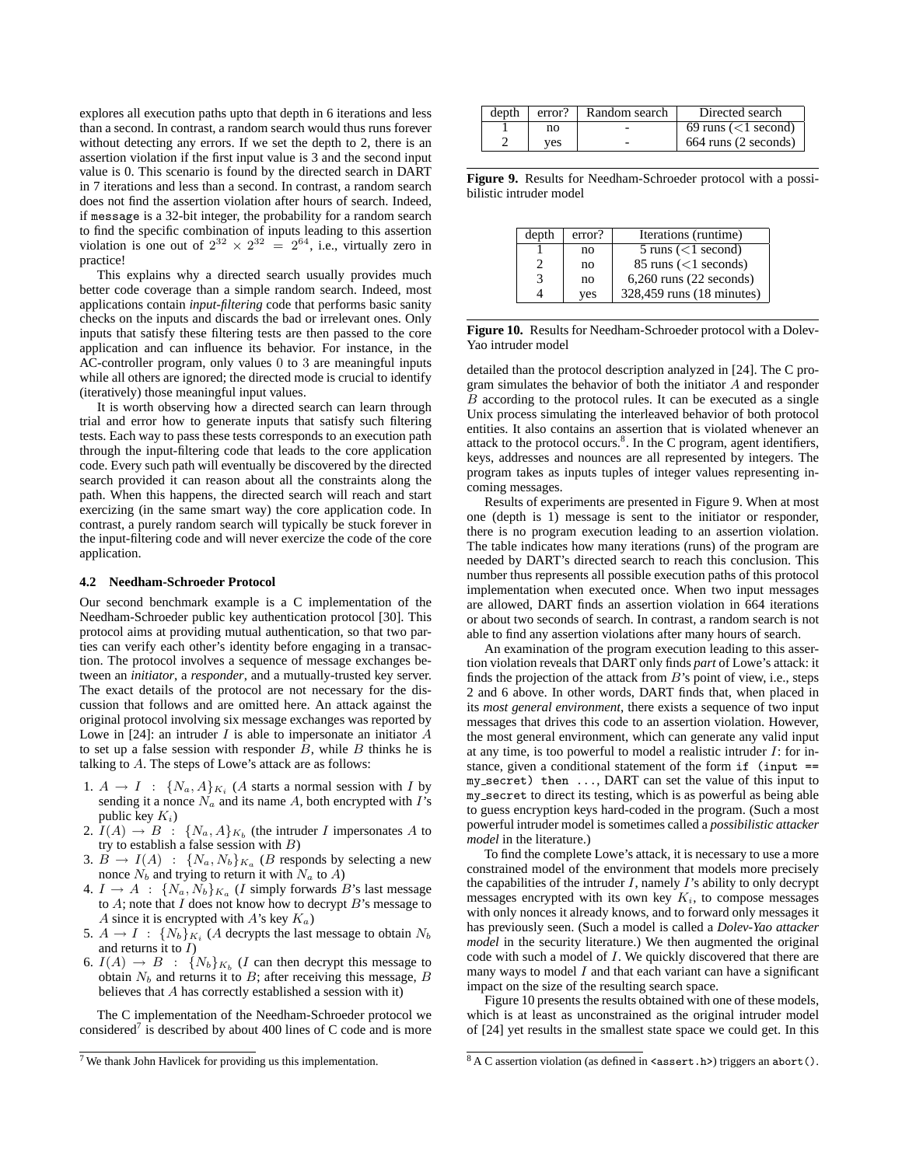explores all execution paths upto that depth in 6 iterations and less than a second. In contrast, a random search would thus runs forever without detecting any errors. If we set the depth to 2, there is an assertion violation if the first input value is 3 and the second input value is 0. This scenario is found by the directed search in DART in 7 iterations and less than a second. In contrast, a random search does not find the assertion violation after hours of search. Indeed, if message is a 32-bit integer, the probability for a random search to find the specific combination of inputs leading to this assertion violation is one out of  $2^{32} \times 2^{32} = 2^{64}$ , i.e., virtually zero in practice!

This explains why a directed search usually provides much better code coverage than a simple random search. Indeed, most applications contain *input-filtering* code that performs basic sanity checks on the inputs and discards the bad or irrelevant ones. Only inputs that satisfy these filtering tests are then passed to the core application and can influence its behavior. For instance, in the AC-controller program, only values 0 to 3 are meaningful inputs while all others are ignored; the directed mode is crucial to identify (iteratively) those meaningful input values.

It is worth observing how a directed search can learn through trial and error how to generate inputs that satisfy such filtering tests. Each way to pass these tests corresponds to an execution path through the input-filtering code that leads to the core application code. Every such path will eventually be discovered by the directed search provided it can reason about all the constraints along the path. When this happens, the directed search will reach and start exercizing (in the same smart way) the core application code. In contrast, a purely random search will typically be stuck forever in the input-filtering code and will never exercize the code of the core application.

#### **4.2 Needham-Schroeder Protocol**

Our second benchmark example is a C implementation of the Needham-Schroeder public key authentication protocol [30]. This protocol aims at providing mutual authentication, so that two parties can verify each other's identity before engaging in a transaction. The protocol involves a sequence of message exchanges between an *initiator*, a *responder*, and a mutually-trusted key server. The exact details of the protocol are not necessary for the discussion that follows and are omitted here. An attack against the original protocol involving six message exchanges was reported by Lowe in [24]: an intruder  $I$  is able to impersonate an initiator  $A$ to set up a false session with responder  $B$ , while  $B$  thinks he is talking to A. The steps of Lowe's attack are as follows:

- 1.  $A \rightarrow I$  :  $\{N_a, A\}_{K_i}$  (A starts a normal session with I by sending it a nonce  $N_a$  and its name A, both encrypted with  $I$ 's public key  $K_i$ )
- 2.  $I(A) \rightarrow B$ :  $\{N_a, A\}_{K_b}$  (the intruder I impersonates A to try to establish a false session with  $B$ )
- 3.  $B \to I(A)$ :  $\{N_a, N_b\}_{K_a}$  (*B* responds by selecting a new nonce  $N_b$  and trying to return it with  $N_a$  to  $\overrightarrow{A}$ )
- 4.  $I \rightarrow A$ :  $\{N_a, N_b\}_{K_a}$  (*I* simply forwards *B*'s last message to  $A$ ; note that  $I$  does not know how to decrypt  $B$ 's message to A since it is encrypted with A's key  $K_a$ )
- 5.  $A \rightarrow I$ :  $\{N_b\}_{K_i}$  (A decrypts the last message to obtain  $N_b$ and returns it to  $I$ )
- 6.  $I(A) \rightarrow B$ :  $\{N_b\}_{K_b}$  (*I* can then decrypt this message to obtain  $N_b$  and returns it to  $B$ ; after receiving this message,  $B$ believes that A has correctly established a session with it)

The C implementation of the Needham-Schroeder protocol we considered<sup>7</sup> is described by about 400 lines of C code and is more

| depth |            | error? Random search | Directed search        |
|-------|------------|----------------------|------------------------|
|       | no         |                      | 69 runs $(< 1$ second) |
|       | <b>ves</b> |                      | 664 runs (2 seconds)   |

**Figure 9.** Results for Needham-Schroeder protocol with a possibilistic intruder model

| depth | error? | Iterations (runtime)                        |
|-------|--------|---------------------------------------------|
|       | no     | $5 \text{ runs } (\leq 1 \text{ second})$   |
|       | no     | $85 \text{ runs } (\leq 1 \text{ seconds})$ |
| 3     | no     | $6,260$ runs $(22$ seconds)                 |
|       | yes    | 328,459 runs (18 minutes)                   |

**Figure 10.** Results for Needham-Schroeder protocol with a Dolev-Yao intruder model

detailed than the protocol description analyzed in [24]. The C program simulates the behavior of both the initiator A and responder B according to the protocol rules. It can be executed as a single Unix process simulating the interleaved behavior of both protocol entities. It also contains an assertion that is violated whenever an attack to the protocol occurs.<sup>8</sup>. In the C program, agent identifiers, keys, addresses and nounces are all represented by integers. The program takes as inputs tuples of integer values representing incoming messages.

Results of experiments are presented in Figure 9. When at most one (depth is 1) message is sent to the initiator or responder, there is no program execution leading to an assertion violation. The table indicates how many iterations (runs) of the program are needed by DART's directed search to reach this conclusion. This number thus represents all possible execution paths of this protocol implementation when executed once. When two input messages are allowed, DART finds an assertion violation in 664 iterations or about two seconds of search. In contrast, a random search is not able to find any assertion violations after many hours of search.

An examination of the program execution leading to this assertion violation reveals that DART only finds *part* of Lowe's attack: it finds the projection of the attack from  $B$ 's point of view, i.e., steps 2 and 6 above. In other words, DART finds that, when placed in its *most general environment*, there exists a sequence of two input messages that drives this code to an assertion violation. However, the most general environment, which can generate any valid input at any time, is too powerful to model a realistic intruder  $I$ : for instance, given a conditional statement of the form  $if$  (input  $=$ my secret) then ..., DART can set the value of this input to my secret to direct its testing, which is as powerful as being able to guess encryption keys hard-coded in the program. (Such a most powerful intruder model is sometimes called a *possibilistic attacker model* in the literature.)

To find the complete Lowe's attack, it is necessary to use a more constrained model of the environment that models more precisely the capabilities of the intruder  $I$ , namely  $I$ 's ability to only decrypt messages encrypted with its own key  $K_i$ , to compose messages with only nonces it already knows, and to forward only messages it has previously seen. (Such a model is called a *Dolev-Yao attacker model* in the security literature.) We then augmented the original code with such a model of I. We quickly discovered that there are many ways to model  $I$  and that each variant can have a significant impact on the size of the resulting search space.

Figure 10 presents the results obtained with one of these models, which is at least as unconstrained as the original intruder model of [24] yet results in the smallest state space we could get. In this

<sup>7</sup> We thank John Havlicek for providing us this implementation.

 $8$  A C assertion violation (as defined in  $\texttt{`assert.h\!>}$  ) triggers an  $\texttt{abort}($  ).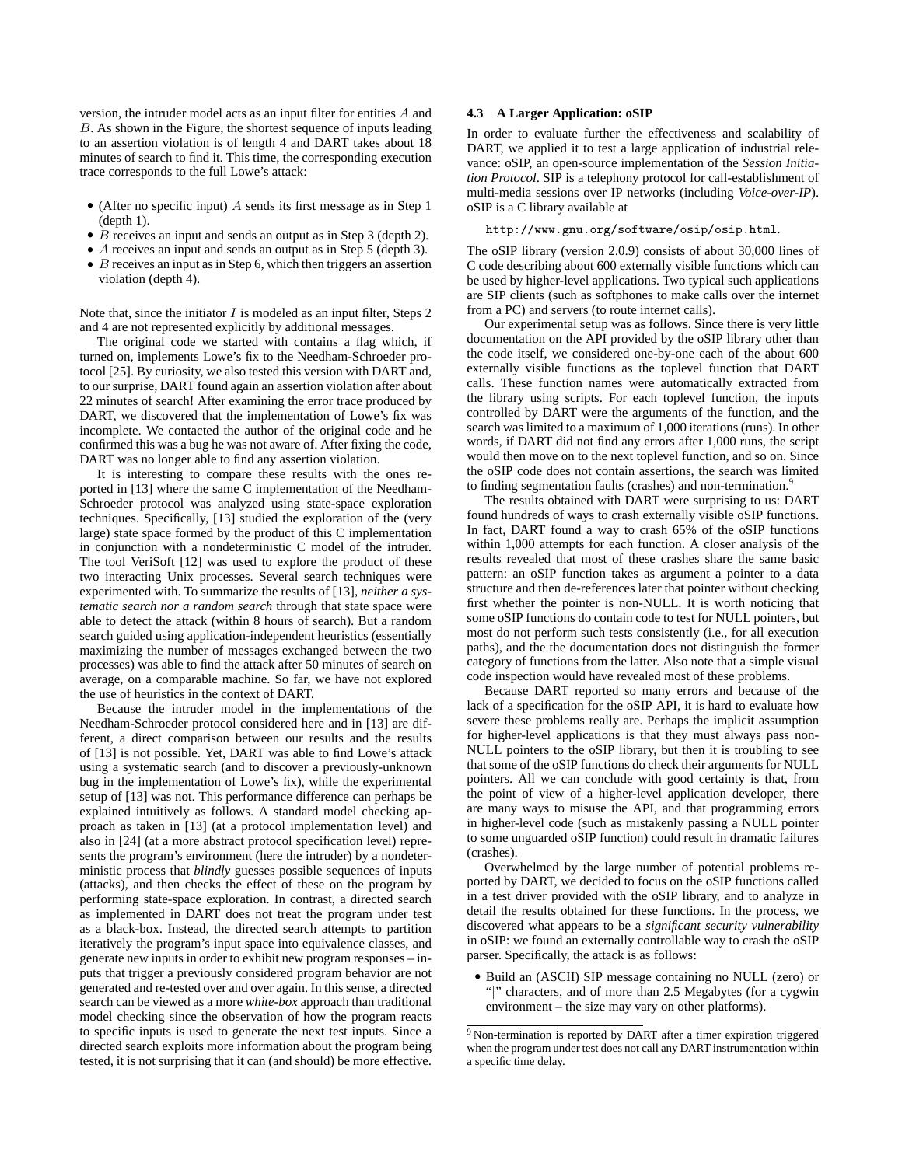version, the intruder model acts as an input filter for entities A and B. As shown in the Figure, the shortest sequence of inputs leading to an assertion violation is of length 4 and DART takes about 18 minutes of search to find it. This time, the corresponding execution trace corresponds to the full Lowe's attack:

- (After no specific input)  $\tilde{A}$  sends its first message as in Step 1 (depth 1).
- B receives an input and sends an output as in Step 3 (depth 2).
- A receives an input and sends an output as in Step 5 (depth 3).
- $\bullet$  B receives an input as in Step 6, which then triggers an assertion violation (depth 4).

Note that, since the initiator  $I$  is modeled as an input filter, Steps 2 and 4 are not represented explicitly by additional messages.

The original code we started with contains a flag which, if turned on, implements Lowe's fix to the Needham-Schroeder protocol [25]. By curiosity, we also tested this version with DART and, to our surprise, DART found again an assertion violation after about 22 minutes of search! After examining the error trace produced by DART, we discovered that the implementation of Lowe's fix was incomplete. We contacted the author of the original code and he confirmed this was a bug he was not aware of. After fixing the code, DART was no longer able to find any assertion violation.

It is interesting to compare these results with the ones reported in [13] where the same C implementation of the Needham-Schroeder protocol was analyzed using state-space exploration techniques. Specifically, [13] studied the exploration of the (very large) state space formed by the product of this C implementation in conjunction with a nondeterministic C model of the intruder. The tool VeriSoft [12] was used to explore the product of these two interacting Unix processes. Several search techniques were experimented with. To summarize the results of [13], *neither a systematic search nor a random search* through that state space were able to detect the attack (within 8 hours of search). But a random search guided using application-independent heuristics (essentially maximizing the number of messages exchanged between the two processes) was able to find the attack after 50 minutes of search on average, on a comparable machine. So far, we have not explored the use of heuristics in the context of DART.

Because the intruder model in the implementations of the Needham-Schroeder protocol considered here and in [13] are different, a direct comparison between our results and the results of [13] is not possible. Yet, DART was able to find Lowe's attack using a systematic search (and to discover a previously-unknown bug in the implementation of Lowe's fix), while the experimental setup of [13] was not. This performance difference can perhaps be explained intuitively as follows. A standard model checking approach as taken in [13] (at a protocol implementation level) and also in [24] (at a more abstract protocol specification level) represents the program's environment (here the intruder) by a nondeterministic process that *blindly* guesses possible sequences of inputs (attacks), and then checks the effect of these on the program by performing state-space exploration. In contrast, a directed search as implemented in DART does not treat the program under test as a black-box. Instead, the directed search attempts to partition iteratively the program's input space into equivalence classes, and generate new inputs in order to exhibit new program responses – inputs that trigger a previously considered program behavior are not generated and re-tested over and over again. In this sense, a directed search can be viewed as a more *white-box* approach than traditional model checking since the observation of how the program reacts to specific inputs is used to generate the next test inputs. Since a directed search exploits more information about the program being tested, it is not surprising that it can (and should) be more effective.

#### **4.3 A Larger Application: oSIP**

In order to evaluate further the effectiveness and scalability of DART, we applied it to test a large application of industrial relevance: oSIP, an open-source implementation of the *Session Initiation Protocol*. SIP is a telephony protocol for call-establishment of multi-media sessions over IP networks (including *Voice-over-IP*). oSIP is a C library available at

#### http://www.gnu.org/software/osip/osip.html.

The oSIP library (version 2.0.9) consists of about 30,000 lines of C code describing about 600 externally visible functions which can be used by higher-level applications. Two typical such applications are SIP clients (such as softphones to make calls over the internet from a PC) and servers (to route internet calls).

Our experimental setup was as follows. Since there is very little documentation on the API provided by the oSIP library other than the code itself, we considered one-by-one each of the about 600 externally visible functions as the toplevel function that DART calls. These function names were automatically extracted from the library using scripts. For each toplevel function, the inputs controlled by DART were the arguments of the function, and the search was limited to a maximum of 1,000 iterations (runs). In other words, if DART did not find any errors after 1,000 runs, the script would then move on to the next toplevel function, and so on. Since the oSIP code does not contain assertions, the search was limited to finding segmentation faults (crashes) and non-termination.<sup>9</sup>

The results obtained with DART were surprising to us: DART found hundreds of ways to crash externally visible oSIP functions. In fact, DART found a way to crash 65% of the oSIP functions within 1,000 attempts for each function. A closer analysis of the results revealed that most of these crashes share the same basic pattern: an oSIP function takes as argument a pointer to a data structure and then de-references later that pointer without checking first whether the pointer is non-NULL. It is worth noticing that some oSIP functions do contain code to test for NULL pointers, but most do not perform such tests consistently (i.e., for all execution paths), and the the documentation does not distinguish the former category of functions from the latter. Also note that a simple visual code inspection would have revealed most of these problems.

Because DART reported so many errors and because of the lack of a specification for the oSIP API, it is hard to evaluate how severe these problems really are. Perhaps the implicit assumption for higher-level applications is that they must always pass non-NULL pointers to the oSIP library, but then it is troubling to see that some of the oSIP functions do check their arguments for NULL pointers. All we can conclude with good certainty is that, from the point of view of a higher-level application developer, there are many ways to misuse the API, and that programming errors in higher-level code (such as mistakenly passing a NULL pointer to some unguarded oSIP function) could result in dramatic failures (crashes).

Overwhelmed by the large number of potential problems reported by DART, we decided to focus on the oSIP functions called in a test driver provided with the oSIP library, and to analyze in detail the results obtained for these functions. In the process, we discovered what appears to be a *significant security vulnerability* in oSIP: we found an externally controllable way to crash the oSIP parser. Specifically, the attack is as follows:

• Build an (ASCII) SIP message containing no NULL (zero) or "|" characters, and of more than 2.5 Megabytes (for a cygwin environment – the size may vary on other platforms).

<sup>&</sup>lt;sup>9</sup> Non-termination is reported by DART after a timer expiration triggered when the program under test does not call any DART instrumentation within a specific time delay.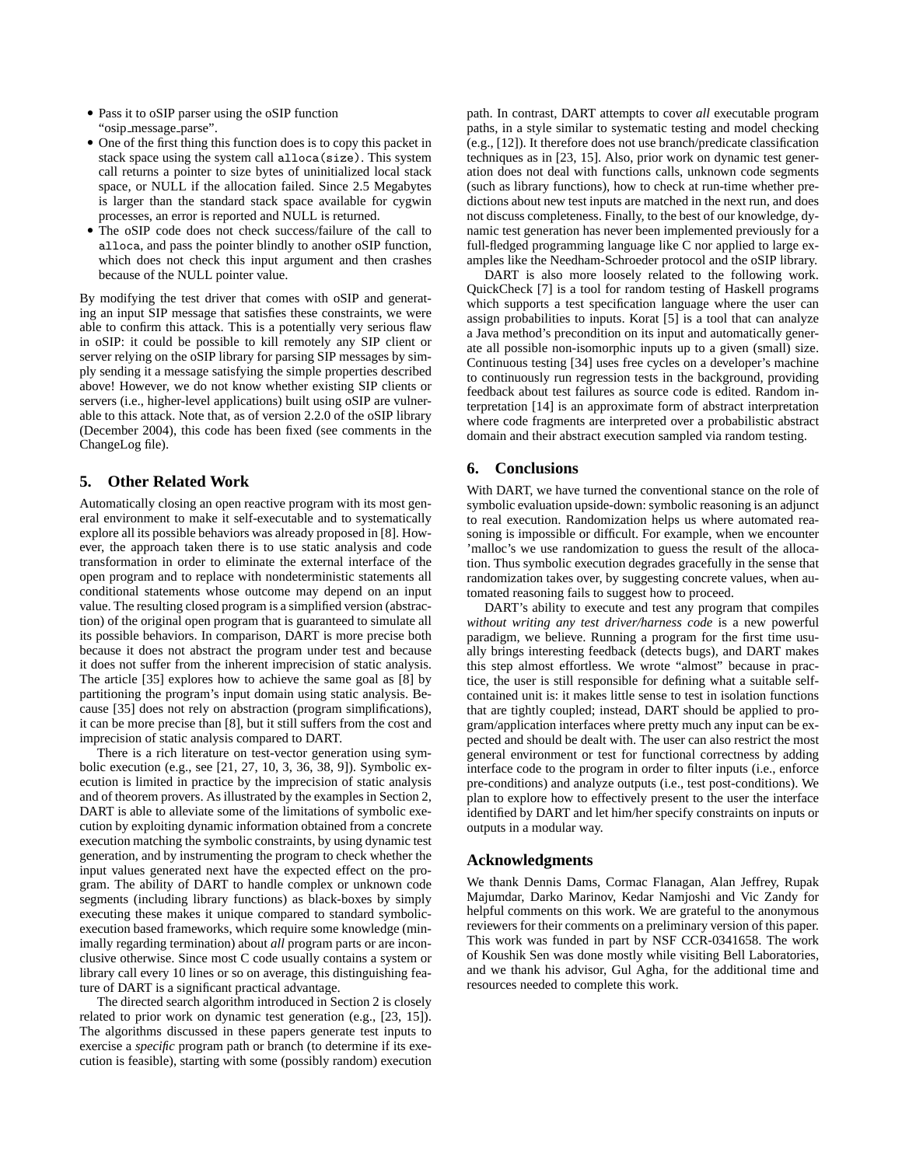- Pass it to oSIP parser using the oSIP function "osip message parse".
- One of the first thing this function does is to copy this packet in stack space using the system call alloca(size). This system call returns a pointer to size bytes of uninitialized local stack space, or NULL if the allocation failed. Since 2.5 Megabytes is larger than the standard stack space available for cygwin processes, an error is reported and NULL is returned.
- The oSIP code does not check success/failure of the call to alloca, and pass the pointer blindly to another oSIP function, which does not check this input argument and then crashes because of the NULL pointer value.

By modifying the test driver that comes with oSIP and generating an input SIP message that satisfies these constraints, we were able to confirm this attack. This is a potentially very serious flaw in oSIP: it could be possible to kill remotely any SIP client or server relying on the oSIP library for parsing SIP messages by simply sending it a message satisfying the simple properties described above! However, we do not know whether existing SIP clients or servers (i.e., higher-level applications) built using oSIP are vulnerable to this attack. Note that, as of version 2.2.0 of the oSIP library (December 2004), this code has been fixed (see comments in the ChangeLog file).

# **5. Other Related Work**

Automatically closing an open reactive program with its most general environment to make it self-executable and to systematically explore all its possible behaviors was already proposed in [8]. However, the approach taken there is to use static analysis and code transformation in order to eliminate the external interface of the open program and to replace with nondeterministic statements all conditional statements whose outcome may depend on an input value. The resulting closed program is a simplified version (abstraction) of the original open program that is guaranteed to simulate all its possible behaviors. In comparison, DART is more precise both because it does not abstract the program under test and because it does not suffer from the inherent imprecision of static analysis. The article [35] explores how to achieve the same goal as [8] by partitioning the program's input domain using static analysis. Because [35] does not rely on abstraction (program simplifications), it can be more precise than [8], but it still suffers from the cost and imprecision of static analysis compared to DART.

There is a rich literature on test-vector generation using symbolic execution (e.g., see [21, 27, 10, 3, 36, 38, 9]). Symbolic execution is limited in practice by the imprecision of static analysis and of theorem provers. As illustrated by the examples in Section 2, DART is able to alleviate some of the limitations of symbolic execution by exploiting dynamic information obtained from a concrete execution matching the symbolic constraints, by using dynamic test generation, and by instrumenting the program to check whether the input values generated next have the expected effect on the program. The ability of DART to handle complex or unknown code segments (including library functions) as black-boxes by simply executing these makes it unique compared to standard symbolicexecution based frameworks, which require some knowledge (minimally regarding termination) about *all* program parts or are inconclusive otherwise. Since most C code usually contains a system or library call every 10 lines or so on average, this distinguishing feature of DART is a significant practical advantage.

The directed search algorithm introduced in Section 2 is closely related to prior work on dynamic test generation (e.g., [23, 15]). The algorithms discussed in these papers generate test inputs to exercise a *specific* program path or branch (to determine if its execution is feasible), starting with some (possibly random) execution path. In contrast, DART attempts to cover *all* executable program paths, in a style similar to systematic testing and model checking (e.g., [12]). It therefore does not use branch/predicate classification techniques as in [23, 15]. Also, prior work on dynamic test generation does not deal with functions calls, unknown code segments (such as library functions), how to check at run-time whether predictions about new test inputs are matched in the next run, and does not discuss completeness. Finally, to the best of our knowledge, dynamic test generation has never been implemented previously for a full-fledged programming language like C nor applied to large examples like the Needham-Schroeder protocol and the oSIP library.

DART is also more loosely related to the following work. QuickCheck [7] is a tool for random testing of Haskell programs which supports a test specification language where the user can assign probabilities to inputs. Korat [5] is a tool that can analyze a Java method's precondition on its input and automatically generate all possible non-isomorphic inputs up to a given (small) size. Continuous testing [34] uses free cycles on a developer's machine to continuously run regression tests in the background, providing feedback about test failures as source code is edited. Random interpretation [14] is an approximate form of abstract interpretation where code fragments are interpreted over a probabilistic abstract domain and their abstract execution sampled via random testing.

## **6. Conclusions**

With DART, we have turned the conventional stance on the role of symbolic evaluation upside-down: symbolic reasoning is an adjunct to real execution. Randomization helps us where automated reasoning is impossible or difficult. For example, when we encounter 'malloc's we use randomization to guess the result of the allocation. Thus symbolic execution degrades gracefully in the sense that randomization takes over, by suggesting concrete values, when automated reasoning fails to suggest how to proceed.

DART's ability to execute and test any program that compiles *without writing any test driver/harness code* is a new powerful paradigm, we believe. Running a program for the first time usually brings interesting feedback (detects bugs), and DART makes this step almost effortless. We wrote "almost" because in practice, the user is still responsible for defining what a suitable selfcontained unit is: it makes little sense to test in isolation functions that are tightly coupled; instead, DART should be applied to program/application interfaces where pretty much any input can be expected and should be dealt with. The user can also restrict the most general environment or test for functional correctness by adding interface code to the program in order to filter inputs (i.e., enforce pre-conditions) and analyze outputs (i.e., test post-conditions). We plan to explore how to effectively present to the user the interface identified by DART and let him/her specify constraints on inputs or outputs in a modular way.

## **Acknowledgments**

We thank Dennis Dams, Cormac Flanagan, Alan Jeffrey, Rupak Majumdar, Darko Marinov, Kedar Namjoshi and Vic Zandy for helpful comments on this work. We are grateful to the anonymous reviewers for their comments on a preliminary version of this paper. This work was funded in part by NSF CCR-0341658. The work of Koushik Sen was done mostly while visiting Bell Laboratories, and we thank his advisor, Gul Agha, for the additional time and resources needed to complete this work.